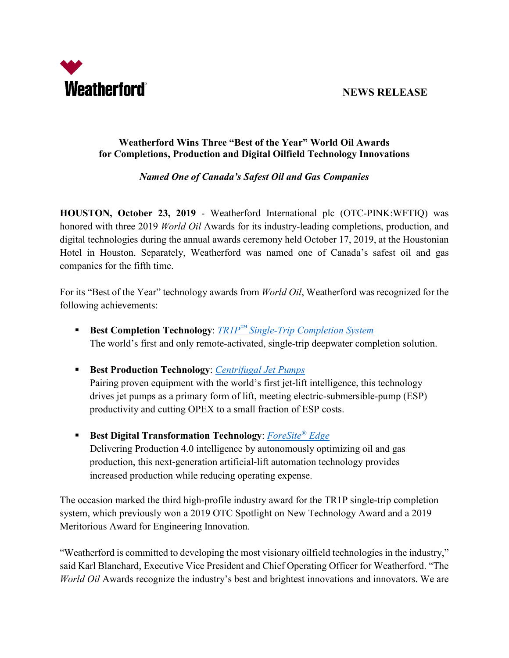

 **NEWS RELEASE** 

## **Weatherford Wins Three "Best of the Year" World Oil Awards for Completions, Production and Digital Oilfield Technology Innovations**

# *Named One of Canada's Safest Oil and Gas Companies*

**HOUSTON, October 23, 2019** - Weatherford International plc (OTC-PINK:WFTIQ) was honored with three 2019 *World Oil* Awards for its industry-leading completions, production, and digital technologies during the annual awards ceremony held October 17, 2019, at the Houstonian Hotel in Houston. Separately, Weatherford was named one of Canada's safest oil and gas companies for the fifth time.

For its "Best of the Year" technology awards from *World Oil*, Weatherford was recognized for the following achievements:

- **Best Completion Technology**: *TR1P™ [Single-Trip Completion System](https://www.weatherford.com/en/products-and-services/completions/single-trip-completion-system/)* The world's first and only remote-activated, single-trip deepwater completion solution.
- **Best Production Technology**: *[Centrifugal Jet Pumps](https://www.weatherford.com/en/documents/brochure/products-and-services/production-optimization/centrifugal-jet-pumps/)* Pairing proven equipment with the world's first jet-lift intelligence, this technology drives jet pumps as a primary form of lift, meeting electric-submersible-pump (ESP) productivity and cutting OPEX to a small fraction of ESP costs.
- **Best Digital Transformation Technology**: *[ForeSite®](https://www.weatherford.com/en/products-and-services/production/production-4-0/iot-enabled-automation) Edge* Delivering Production 4.0 intelligence by autonomously optimizing oil and gas production, this next-generation artificial-lift automation technology provides increased production while reducing operating expense.

The occasion marked the third high-profile industry award for the TR1P single-trip completion system, which previously won a 2019 OTC Spotlight on New Technology Award and a 2019 Meritorious Award for Engineering Innovation.

"Weatherford is committed to developing the most visionary oilfield technologies in the industry," said Karl Blanchard, Executive Vice President and Chief Operating Officer for Weatherford. "The *World Oil* Awards recognize the industry's best and brightest innovations and innovators. We are